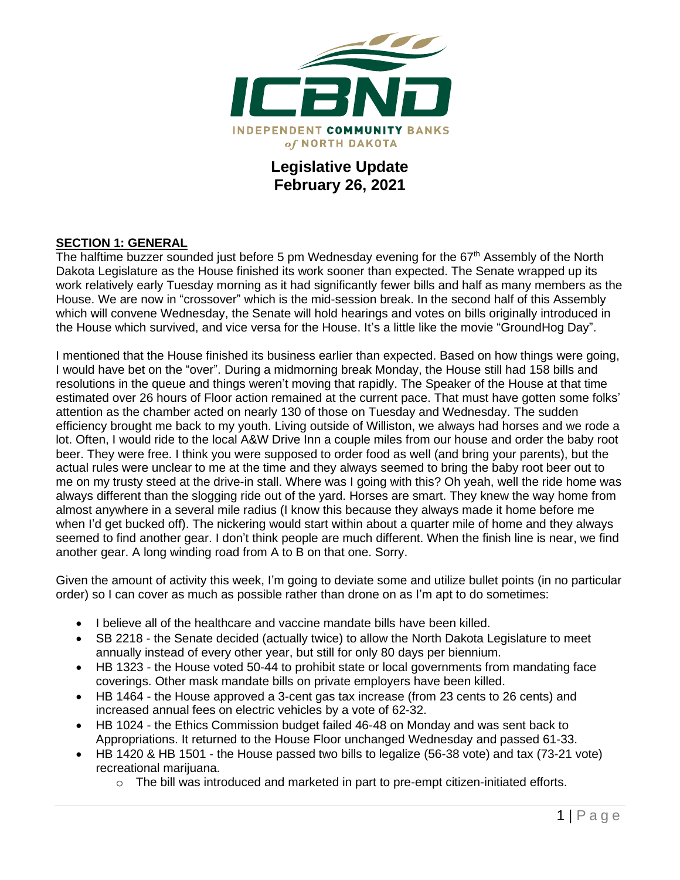

## **Legislative Update February 26, 2021**

#### **SECTION 1: GENERAL**

The halftime buzzer sounded just before 5 pm Wednesday evening for the 67<sup>th</sup> Assembly of the North Dakota Legislature as the House finished its work sooner than expected. The Senate wrapped up its work relatively early Tuesday morning as it had significantly fewer bills and half as many members as the House. We are now in "crossover" which is the mid-session break. In the second half of this Assembly which will convene Wednesday, the Senate will hold hearings and votes on bills originally introduced in the House which survived, and vice versa for the House. It's a little like the movie "GroundHog Day".

I mentioned that the House finished its business earlier than expected. Based on how things were going, I would have bet on the "over". During a midmorning break Monday, the House still had 158 bills and resolutions in the queue and things weren't moving that rapidly. The Speaker of the House at that time estimated over 26 hours of Floor action remained at the current pace. That must have gotten some folks' attention as the chamber acted on nearly 130 of those on Tuesday and Wednesday. The sudden efficiency brought me back to my youth. Living outside of Williston, we always had horses and we rode a lot. Often, I would ride to the local A&W Drive Inn a couple miles from our house and order the baby root beer. They were free. I think you were supposed to order food as well (and bring your parents), but the actual rules were unclear to me at the time and they always seemed to bring the baby root beer out to me on my trusty steed at the drive-in stall. Where was I going with this? Oh yeah, well the ride home was always different than the slogging ride out of the yard. Horses are smart. They knew the way home from almost anywhere in a several mile radius (I know this because they always made it home before me when I'd get bucked off). The nickering would start within about a quarter mile of home and they always seemed to find another gear. I don't think people are much different. When the finish line is near, we find another gear. A long winding road from A to B on that one. Sorry.

Given the amount of activity this week, I'm going to deviate some and utilize bullet points (in no particular order) so I can cover as much as possible rather than drone on as I'm apt to do sometimes:

- I believe all of the healthcare and vaccine mandate bills have been killed.
- SB 2218 the Senate decided (actually twice) to allow the North Dakota Legislature to meet annually instead of every other year, but still for only 80 days per biennium.
- HB 1323 the House voted 50-44 to prohibit state or local governments from mandating face coverings. Other mask mandate bills on private employers have been killed.
- HB 1464 the House approved a 3-cent gas tax increase (from 23 cents to 26 cents) and increased annual fees on electric vehicles by a vote of 62-32.
- HB 1024 the Ethics Commission budget failed 46-48 on Monday and was sent back to Appropriations. It returned to the House Floor unchanged Wednesday and passed 61-33.
- HB 1420 & HB 1501 the House passed two bills to legalize (56-38 vote) and tax (73-21 vote) recreational marijuana.
	- $\circ$  The bill was introduced and marketed in part to pre-empt citizen-initiated efforts.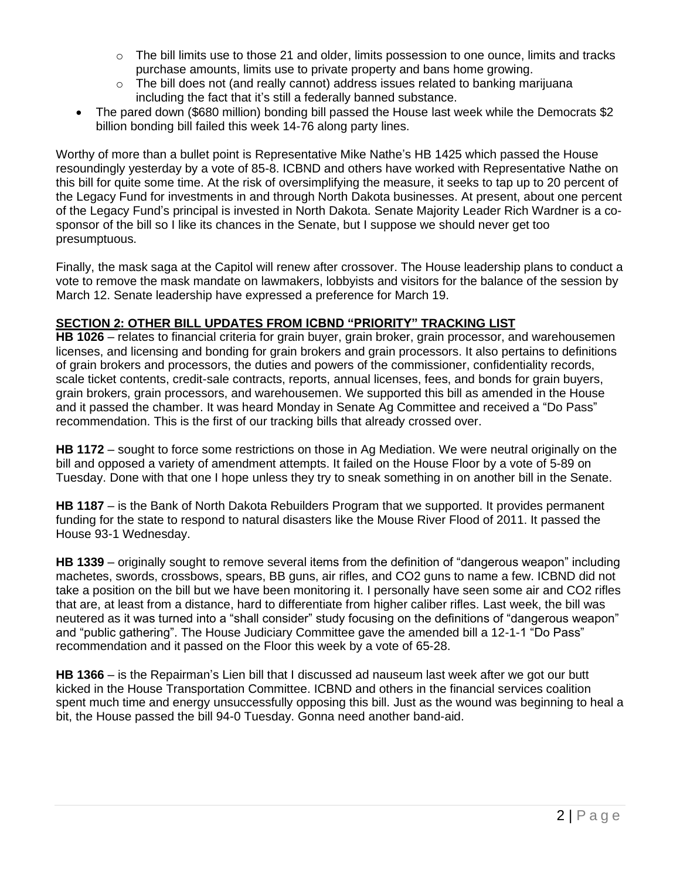- The bill limits use to those 21 and older, limits possession to one ounce, limits and tracks purchase amounts, limits use to private property and bans home growing.
- $\circ$  The bill does not (and really cannot) address issues related to banking marijuana including the fact that it's still a federally banned substance.
- The pared down (\$680 million) bonding bill passed the House last week while the Democrats \$2 billion bonding bill failed this week 14-76 along party lines.

Worthy of more than a bullet point is Representative Mike Nathe's HB 1425 which passed the House resoundingly yesterday by a vote of 85-8. ICBND and others have worked with Representative Nathe on this bill for quite some time. At the risk of oversimplifying the measure, it seeks to tap up to 20 percent of the Legacy Fund for investments in and through North Dakota businesses. At present, about one percent of the Legacy Fund's principal is invested in North Dakota. Senate Majority Leader Rich Wardner is a cosponsor of the bill so I like its chances in the Senate, but I suppose we should never get too presumptuous.

Finally, the mask saga at the Capitol will renew after crossover. The House leadership plans to conduct a vote to remove the mask mandate on lawmakers, lobbyists and visitors for the balance of the session by March 12. Senate leadership have expressed a preference for March 19.

### **SECTION 2: OTHER BILL UPDATES FROM ICBND "PRIORITY" TRACKING LIST**

**HB 1026** – relates to financial criteria for grain buyer, grain broker, grain processor, and warehousemen licenses, and licensing and bonding for grain brokers and grain processors. It also pertains to definitions of grain brokers and processors, the duties and powers of the commissioner, confidentiality records, scale ticket contents, credit-sale contracts, reports, annual licenses, fees, and bonds for grain buyers, grain brokers, grain processors, and warehousemen. We supported this bill as amended in the House and it passed the chamber. It was heard Monday in Senate Ag Committee and received a "Do Pass" recommendation. This is the first of our tracking bills that already crossed over.

**HB 1172** – sought to force some restrictions on those in Ag Mediation. We were neutral originally on the bill and opposed a variety of amendment attempts. It failed on the House Floor by a vote of 5-89 on Tuesday. Done with that one I hope unless they try to sneak something in on another bill in the Senate.

**HB 1187** – is the Bank of North Dakota Rebuilders Program that we supported. It provides permanent funding for the state to respond to natural disasters like the Mouse River Flood of 2011. It passed the House 93-1 Wednesday.

**HB 1339** – originally sought to remove several items from the definition of "dangerous weapon" including machetes, swords, crossbows, spears, BB guns, air rifles, and CO2 guns to name a few. ICBND did not take a position on the bill but we have been monitoring it. I personally have seen some air and CO2 rifles that are, at least from a distance, hard to differentiate from higher caliber rifles. Last week, the bill was neutered as it was turned into a "shall consider" study focusing on the definitions of "dangerous weapon" and "public gathering". The House Judiciary Committee gave the amended bill a 12-1-1 "Do Pass" recommendation and it passed on the Floor this week by a vote of 65-28.

**HB 1366** – is the Repairman's Lien bill that I discussed ad nauseum last week after we got our butt kicked in the House Transportation Committee. ICBND and others in the financial services coalition spent much time and energy unsuccessfully opposing this bill. Just as the wound was beginning to heal a bit, the House passed the bill 94-0 Tuesday. Gonna need another band-aid.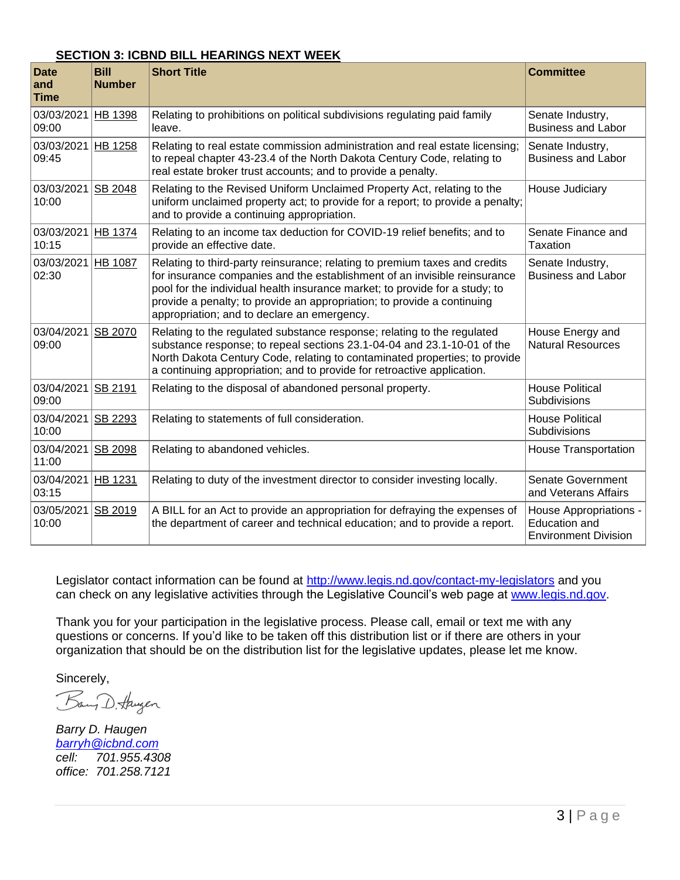#### **SECTION 3: ICBND BILL HEARINGS NEXT WEEK**

| <b>Date</b><br>and<br><b>Time</b> | <b>Bill</b><br><b>Number</b> | <b>Short Title</b>                                                                                                                                                                                                                                                                                                                                               | <b>Committee</b>                                                              |
|-----------------------------------|------------------------------|------------------------------------------------------------------------------------------------------------------------------------------------------------------------------------------------------------------------------------------------------------------------------------------------------------------------------------------------------------------|-------------------------------------------------------------------------------|
| 03/03/2021<br>09:00               | HB 1398                      | Relating to prohibitions on political subdivisions regulating paid family<br>leave.                                                                                                                                                                                                                                                                              | Senate Industry,<br><b>Business and Labor</b>                                 |
| 03/03/2021<br>09:45               | HB 1258                      | Relating to real estate commission administration and real estate licensing;<br>to repeal chapter 43-23.4 of the North Dakota Century Code, relating to<br>real estate broker trust accounts; and to provide a penalty.                                                                                                                                          | Senate Industry,<br><b>Business and Labor</b>                                 |
| 03/03/2021 SB 2048<br>10:00       |                              | Relating to the Revised Uniform Unclaimed Property Act, relating to the<br>uniform unclaimed property act; to provide for a report; to provide a penalty;<br>and to provide a continuing appropriation.                                                                                                                                                          | House Judiciary                                                               |
| 03/03/2021 HB 1374<br>10:15       |                              | Relating to an income tax deduction for COVID-19 relief benefits; and to<br>provide an effective date.                                                                                                                                                                                                                                                           | Senate Finance and<br>Taxation                                                |
| 03/03/2021<br>02:30               | <b>HB 1087</b>               | Relating to third-party reinsurance; relating to premium taxes and credits<br>for insurance companies and the establishment of an invisible reinsurance<br>pool for the individual health insurance market; to provide for a study; to<br>provide a penalty; to provide an appropriation; to provide a continuing<br>appropriation; and to declare an emergency. | Senate Industry,<br><b>Business and Labor</b>                                 |
| 03/04/2021 SB 2070<br>09:00       |                              | Relating to the regulated substance response; relating to the regulated<br>substance response; to repeal sections 23.1-04-04 and 23.1-10-01 of the<br>North Dakota Century Code, relating to contaminated properties; to provide<br>a continuing appropriation; and to provide for retroactive application.                                                      | House Energy and<br><b>Natural Resources</b>                                  |
| 03/04/2021 SB 2191<br>09:00       |                              | Relating to the disposal of abandoned personal property.                                                                                                                                                                                                                                                                                                         | <b>House Political</b><br>Subdivisions                                        |
| 03/04/2021<br>10:00               | SB 2293                      | Relating to statements of full consideration.                                                                                                                                                                                                                                                                                                                    | <b>House Political</b><br>Subdivisions                                        |
| 03/04/2021<br>11:00               | <b>SB 2098</b>               | Relating to abandoned vehicles.                                                                                                                                                                                                                                                                                                                                  | <b>House Transportation</b>                                                   |
| 03/04/2021<br>03:15               | HB 1231                      | Relating to duty of the investment director to consider investing locally.                                                                                                                                                                                                                                                                                       | Senate Government<br>and Veterans Affairs                                     |
| 03/05/2021<br>10:00               | SB 2019                      | A BILL for an Act to provide an appropriation for defraying the expenses of<br>the department of career and technical education; and to provide a report.                                                                                                                                                                                                        | House Appropriations -<br><b>Education and</b><br><b>Environment Division</b> |

Legislator contact information can be found at<http://www.legis.nd.gov/contact-my-legislators> and you can check on any legislative activities through the Legislative Council's web page at [www.legis.nd.gov.](http://www.legis.nd.gov/)

Thank you for your participation in the legislative process. Please call, email or text me with any questions or concerns. If you'd like to be taken off this distribution list or if there are others in your organization that should be on the distribution list for the legislative updates, please let me know.

Sincerely,

Bang D. Haugen

*Barry D. Haugen [barryh@icbnd.com](mailto:barryh@icbnd.com) cell: 701.955.4308 office: 701.258.7121*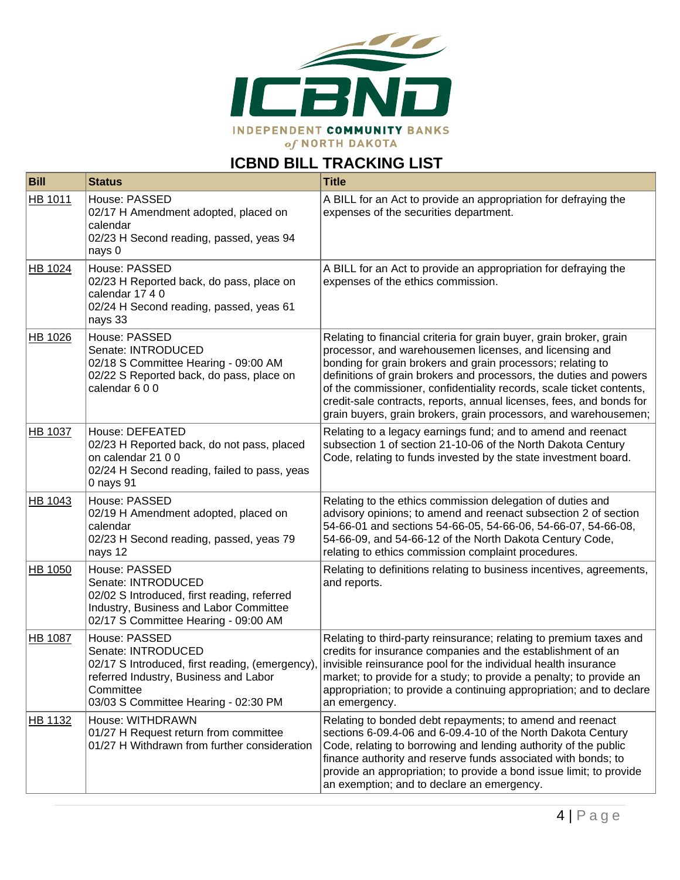

# **ICBND BILL TRACKING LIST**

| <b>Bill</b>    | <b>Status</b>                                                                                                                                                                       | <b>Title</b>                                                                                                                                                                                                                                                                                                                                                                                                                                                                            |
|----------------|-------------------------------------------------------------------------------------------------------------------------------------------------------------------------------------|-----------------------------------------------------------------------------------------------------------------------------------------------------------------------------------------------------------------------------------------------------------------------------------------------------------------------------------------------------------------------------------------------------------------------------------------------------------------------------------------|
| HB 1011        | House: PASSED<br>02/17 H Amendment adopted, placed on<br>calendar<br>02/23 H Second reading, passed, yeas 94<br>nays 0                                                              | A BILL for an Act to provide an appropriation for defraying the<br>expenses of the securities department.                                                                                                                                                                                                                                                                                                                                                                               |
| HB 1024        | House: PASSED<br>02/23 H Reported back, do pass, place on<br>calendar 17 4 0<br>02/24 H Second reading, passed, yeas 61<br>nays 33                                                  | A BILL for an Act to provide an appropriation for defraying the<br>expenses of the ethics commission.                                                                                                                                                                                                                                                                                                                                                                                   |
| HB 1026        | House: PASSED<br>Senate: INTRODUCED<br>02/18 S Committee Hearing - 09:00 AM<br>02/22 S Reported back, do pass, place on<br>calendar 600                                             | Relating to financial criteria for grain buyer, grain broker, grain<br>processor, and warehousemen licenses, and licensing and<br>bonding for grain brokers and grain processors; relating to<br>definitions of grain brokers and processors, the duties and powers<br>of the commissioner, confidentiality records, scale ticket contents,<br>credit-sale contracts, reports, annual licenses, fees, and bonds for<br>grain buyers, grain brokers, grain processors, and warehousemen; |
| <b>HB 1037</b> | House: DEFEATED<br>02/23 H Reported back, do not pass, placed<br>on calendar 21 0 0<br>02/24 H Second reading, failed to pass, yeas<br>0 nays 91                                    | Relating to a legacy earnings fund; and to amend and reenact<br>subsection 1 of section 21-10-06 of the North Dakota Century<br>Code, relating to funds invested by the state investment board.                                                                                                                                                                                                                                                                                         |
| HB 1043        | House: PASSED<br>02/19 H Amendment adopted, placed on<br>calendar<br>02/23 H Second reading, passed, yeas 79<br>nays 12                                                             | Relating to the ethics commission delegation of duties and<br>advisory opinions; to amend and reenact subsection 2 of section<br>54-66-01 and sections 54-66-05, 54-66-06, 54-66-07, 54-66-08,<br>54-66-09, and 54-66-12 of the North Dakota Century Code,<br>relating to ethics commission complaint procedures.                                                                                                                                                                       |
| HB 1050        | House: PASSED<br>Senate: INTRODUCED<br>02/02 S Introduced, first reading, referred<br>Industry, Business and Labor Committee<br>02/17 S Committee Hearing - 09:00 AM                | Relating to definitions relating to business incentives, agreements,<br>and reports.                                                                                                                                                                                                                                                                                                                                                                                                    |
| <b>HB 1087</b> | House: PASSED<br>Senate: INTRODUCED<br>02/17 S Introduced, first reading, (emergency)<br>referred Industry, Business and Labor<br>Committee<br>03/03 S Committee Hearing - 02:30 PM | Relating to third-party reinsurance; relating to premium taxes and<br>credits for insurance companies and the establishment of an<br>invisible reinsurance pool for the individual health insurance<br>market; to provide for a study; to provide a penalty; to provide an<br>appropriation; to provide a continuing appropriation; and to declare<br>an emergency.                                                                                                                     |
| HB 1132        | House: WITHDRAWN<br>01/27 H Request return from committee<br>01/27 H Withdrawn from further consideration                                                                           | Relating to bonded debt repayments; to amend and reenact<br>sections 6-09.4-06 and 6-09.4-10 of the North Dakota Century<br>Code, relating to borrowing and lending authority of the public<br>finance authority and reserve funds associated with bonds; to<br>provide an appropriation; to provide a bond issue limit; to provide<br>an exemption; and to declare an emergency.                                                                                                       |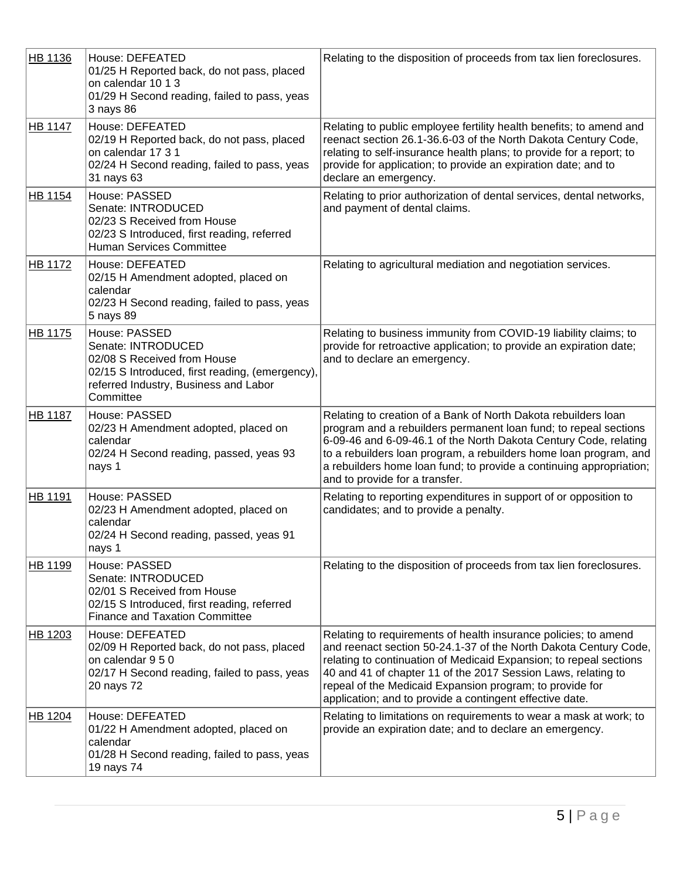| HB 1136        | House: DEFEATED<br>01/25 H Reported back, do not pass, placed<br>on calendar 10 1 3<br>01/29 H Second reading, failed to pass, yeas<br>3 nays 86                            | Relating to the disposition of proceeds from tax lien foreclosures.                                                                                                                                                                                                                                                                                                                                |
|----------------|-----------------------------------------------------------------------------------------------------------------------------------------------------------------------------|----------------------------------------------------------------------------------------------------------------------------------------------------------------------------------------------------------------------------------------------------------------------------------------------------------------------------------------------------------------------------------------------------|
| HB 1147        | House: DEFEATED<br>02/19 H Reported back, do not pass, placed<br>on calendar 17 3 1<br>02/24 H Second reading, failed to pass, yeas<br>31 nays 63                           | Relating to public employee fertility health benefits; to amend and<br>reenact section 26.1-36.6-03 of the North Dakota Century Code,<br>relating to self-insurance health plans; to provide for a report; to<br>provide for application; to provide an expiration date; and to<br>declare an emergency.                                                                                           |
| HB 1154        | House: PASSED<br>Senate: INTRODUCED<br>02/23 S Received from House<br>02/23 S Introduced, first reading, referred<br><b>Human Services Committee</b>                        | Relating to prior authorization of dental services, dental networks,<br>and payment of dental claims.                                                                                                                                                                                                                                                                                              |
| HB 1172        | House: DEFEATED<br>02/15 H Amendment adopted, placed on<br>calendar<br>02/23 H Second reading, failed to pass, yeas<br>5 nays 89                                            | Relating to agricultural mediation and negotiation services.                                                                                                                                                                                                                                                                                                                                       |
| HB 1175        | House: PASSED<br>Senate: INTRODUCED<br>02/08 S Received from House<br>02/15 S Introduced, first reading, (emergency),<br>referred Industry, Business and Labor<br>Committee | Relating to business immunity from COVID-19 liability claims; to<br>provide for retroactive application; to provide an expiration date;<br>and to declare an emergency.                                                                                                                                                                                                                            |
| <b>HB 1187</b> | House: PASSED<br>02/23 H Amendment adopted, placed on<br>calendar<br>02/24 H Second reading, passed, yeas 93<br>nays 1                                                      | Relating to creation of a Bank of North Dakota rebuilders loan<br>program and a rebuilders permanent loan fund; to repeal sections<br>6-09-46 and 6-09-46.1 of the North Dakota Century Code, relating<br>to a rebuilders loan program, a rebuilders home loan program, and<br>a rebuilders home loan fund; to provide a continuing appropriation;<br>and to provide for a transfer.               |
| HB 1191        | House: PASSED<br>02/23 H Amendment adopted, placed on<br>calendar<br>02/24 H Second reading, passed, yeas 91<br>nays 1                                                      | Relating to reporting expenditures in support of or opposition to<br>candidates; and to provide a penalty.                                                                                                                                                                                                                                                                                         |
| HB 1199        | House: PASSED<br>Senate: INTRODUCED<br>02/01 S Received from House<br>02/15 S Introduced, first reading, referred<br><b>Finance and Taxation Committee</b>                  | Relating to the disposition of proceeds from tax lien foreclosures.                                                                                                                                                                                                                                                                                                                                |
| HB 1203        | House: DEFEATED<br>02/09 H Reported back, do not pass, placed<br>on calendar 9 5 0<br>02/17 H Second reading, failed to pass, yeas<br>20 nays 72                            | Relating to requirements of health insurance policies; to amend<br>and reenact section 50-24.1-37 of the North Dakota Century Code,<br>relating to continuation of Medicaid Expansion; to repeal sections<br>40 and 41 of chapter 11 of the 2017 Session Laws, relating to<br>repeal of the Medicaid Expansion program; to provide for<br>application; and to provide a contingent effective date. |
| HB 1204        | House: DEFEATED<br>01/22 H Amendment adopted, placed on<br>calendar<br>01/28 H Second reading, failed to pass, yeas<br>19 nays 74                                           | Relating to limitations on requirements to wear a mask at work; to<br>provide an expiration date; and to declare an emergency.                                                                                                                                                                                                                                                                     |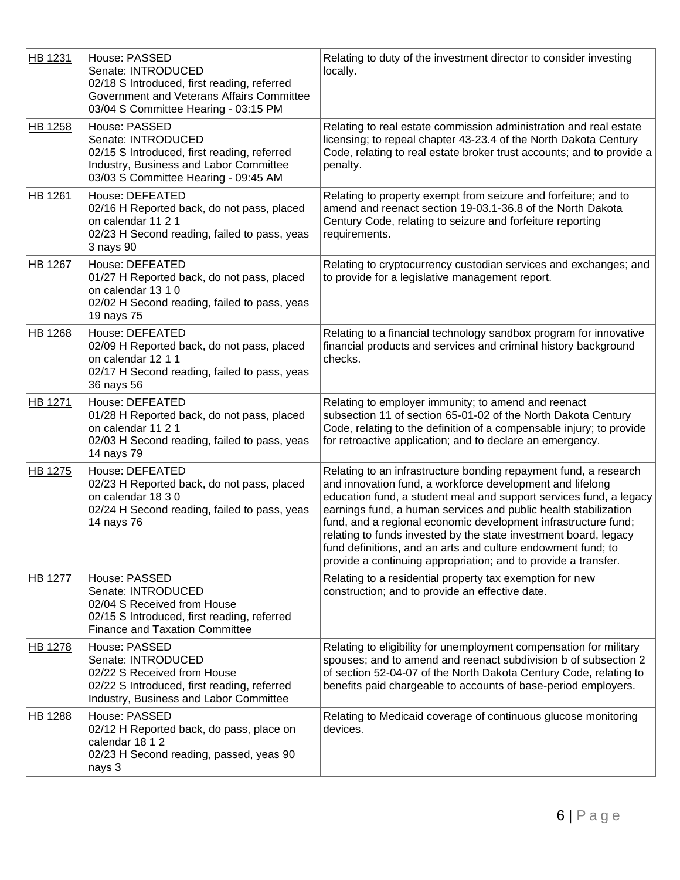| HB 1231        | House: PASSED<br>Senate: INTRODUCED<br>02/18 S Introduced, first reading, referred<br>Government and Veterans Affairs Committee<br>03/04 S Committee Hearing - 03:15 PM | Relating to duty of the investment director to consider investing<br>locally.                                                                                                                                                                                                                                                                                                                                                                                                                                                                  |
|----------------|-------------------------------------------------------------------------------------------------------------------------------------------------------------------------|------------------------------------------------------------------------------------------------------------------------------------------------------------------------------------------------------------------------------------------------------------------------------------------------------------------------------------------------------------------------------------------------------------------------------------------------------------------------------------------------------------------------------------------------|
| HB 1258        | House: PASSED<br>Senate: INTRODUCED<br>02/15 S Introduced, first reading, referred<br>Industry, Business and Labor Committee<br>03/03 S Committee Hearing - 09:45 AM    | Relating to real estate commission administration and real estate<br>licensing; to repeal chapter 43-23.4 of the North Dakota Century<br>Code, relating to real estate broker trust accounts; and to provide a<br>penalty.                                                                                                                                                                                                                                                                                                                     |
| <b>HB 1261</b> | House: DEFEATED<br>02/16 H Reported back, do not pass, placed<br>on calendar 11 2 1<br>02/23 H Second reading, failed to pass, yeas<br>3 nays 90                        | Relating to property exempt from seizure and forfeiture; and to<br>amend and reenact section 19-03.1-36.8 of the North Dakota<br>Century Code, relating to seizure and forfeiture reporting<br>requirements.                                                                                                                                                                                                                                                                                                                                   |
| HB 1267        | House: DEFEATED<br>01/27 H Reported back, do not pass, placed<br>on calendar 13 1 0<br>02/02 H Second reading, failed to pass, yeas<br>19 nays 75                       | Relating to cryptocurrency custodian services and exchanges; and<br>to provide for a legislative management report.                                                                                                                                                                                                                                                                                                                                                                                                                            |
| <b>HB 1268</b> | House: DEFEATED<br>02/09 H Reported back, do not pass, placed<br>on calendar 12 1 1<br>02/17 H Second reading, failed to pass, yeas<br>36 nays 56                       | Relating to a financial technology sandbox program for innovative<br>financial products and services and criminal history background<br>checks.                                                                                                                                                                                                                                                                                                                                                                                                |
| HB 1271        | House: DEFEATED<br>01/28 H Reported back, do not pass, placed<br>on calendar 11 2 1<br>02/03 H Second reading, failed to pass, yeas<br>14 nays 79                       | Relating to employer immunity; to amend and reenact<br>subsection 11 of section 65-01-02 of the North Dakota Century<br>Code, relating to the definition of a compensable injury; to provide<br>for retroactive application; and to declare an emergency.                                                                                                                                                                                                                                                                                      |
| HB 1275        | House: DEFEATED<br>02/23 H Reported back, do not pass, placed<br>on calendar 18 3 0<br>02/24 H Second reading, failed to pass, yeas<br>14 nays 76                       | Relating to an infrastructure bonding repayment fund, a research<br>and innovation fund, a workforce development and lifelong<br>education fund, a student meal and support services fund, a legacy<br>earnings fund, a human services and public health stabilization<br>fund, and a regional economic development infrastructure fund;<br>relating to funds invested by the state investment board, legacy<br>fund definitions, and an arts and culture endowment fund; to<br>provide a continuing appropriation; and to provide a transfer. |
| <b>HB 1277</b> | House: PASSED<br>Senate: INTRODUCED<br>02/04 S Received from House<br>02/15 S Introduced, first reading, referred<br><b>Finance and Taxation Committee</b>              | Relating to a residential property tax exemption for new<br>construction; and to provide an effective date.                                                                                                                                                                                                                                                                                                                                                                                                                                    |
| <b>HB 1278</b> | House: PASSED<br>Senate: INTRODUCED<br>02/22 S Received from House<br>02/22 S Introduced, first reading, referred<br>Industry, Business and Labor Committee             | Relating to eligibility for unemployment compensation for military<br>spouses; and to amend and reenact subdivision b of subsection 2<br>of section 52-04-07 of the North Dakota Century Code, relating to<br>benefits paid chargeable to accounts of base-period employers.                                                                                                                                                                                                                                                                   |
| <b>HB 1288</b> | House: PASSED<br>02/12 H Reported back, do pass, place on<br>calendar 18 1 2<br>02/23 H Second reading, passed, yeas 90<br>nays 3                                       | Relating to Medicaid coverage of continuous glucose monitoring<br>devices.                                                                                                                                                                                                                                                                                                                                                                                                                                                                     |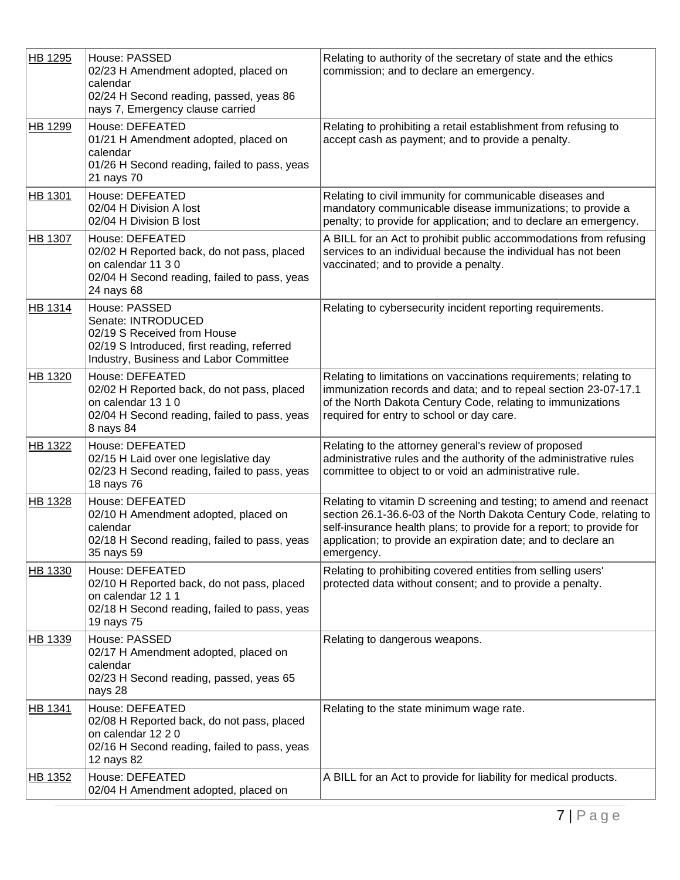| HB 1295 | House: PASSED<br>02/23 H Amendment adopted, placed on<br>calendar<br>02/24 H Second reading, passed, yeas 86<br>nays 7, Emergency clause carried            | Relating to authority of the secretary of state and the ethics<br>commission; and to declare an emergency.                                                                                                                                                                                     |
|---------|-------------------------------------------------------------------------------------------------------------------------------------------------------------|------------------------------------------------------------------------------------------------------------------------------------------------------------------------------------------------------------------------------------------------------------------------------------------------|
| HB 1299 | House: DEFEATED<br>01/21 H Amendment adopted, placed on<br>calendar<br>01/26 H Second reading, failed to pass, yeas<br>21 nays 70                           | Relating to prohibiting a retail establishment from refusing to<br>accept cash as payment; and to provide a penalty.                                                                                                                                                                           |
| HB 1301 | House: DEFEATED<br>02/04 H Division A lost<br>02/04 H Division B lost                                                                                       | Relating to civil immunity for communicable diseases and<br>mandatory communicable disease immunizations; to provide a<br>penalty; to provide for application; and to declare an emergency.                                                                                                    |
| HB 1307 | House: DEFEATED<br>02/02 H Reported back, do not pass, placed<br>on calendar 11 3 0<br>02/04 H Second reading, failed to pass, yeas<br>24 nays 68           | A BILL for an Act to prohibit public accommodations from refusing<br>services to an individual because the individual has not been<br>vaccinated; and to provide a penalty.                                                                                                                    |
| HB 1314 | House: PASSED<br>Senate: INTRODUCED<br>02/19 S Received from House<br>02/19 S Introduced, first reading, referred<br>Industry, Business and Labor Committee | Relating to cybersecurity incident reporting requirements.                                                                                                                                                                                                                                     |
| HB 1320 | House: DEFEATED<br>02/02 H Reported back, do not pass, placed<br>on calendar 13 1 0<br>02/04 H Second reading, failed to pass, yeas<br>8 nays 84            | Relating to limitations on vaccinations requirements; relating to<br>immunization records and data; and to repeal section 23-07-17.1<br>of the North Dakota Century Code, relating to immunizations<br>required for entry to school or day care.                                               |
| HB 1322 | House: DEFEATED<br>02/15 H Laid over one legislative day<br>02/23 H Second reading, failed to pass, yeas<br>18 nays 76                                      | Relating to the attorney general's review of proposed<br>administrative rules and the authority of the administrative rules<br>committee to object to or void an administrative rule.                                                                                                          |
| HB 1328 | House: DEFEATED<br>02/10 H Amendment adopted, placed on<br>calendar<br>02/18 H Second reading, failed to pass, yeas<br>35 nays 59                           | Relating to vitamin D screening and testing; to amend and reenact<br>section 26.1-36.6-03 of the North Dakota Century Code, relating to<br>self-insurance health plans; to provide for a report; to provide for<br>application; to provide an expiration date; and to declare an<br>emergency. |
| HB 1330 | House: DEFEATED<br>02/10 H Reported back, do not pass, placed<br>on calendar 12 1 1<br>02/18 H Second reading, failed to pass, yeas<br>19 nays 75           | Relating to prohibiting covered entities from selling users'<br>protected data without consent; and to provide a penalty.                                                                                                                                                                      |
| HB 1339 | House: PASSED<br>02/17 H Amendment adopted, placed on<br>calendar<br>02/23 H Second reading, passed, yeas 65<br>nays 28                                     | Relating to dangerous weapons.                                                                                                                                                                                                                                                                 |
| HB 1341 | House: DEFEATED<br>02/08 H Reported back, do not pass, placed<br>on calendar 12 2 0<br>02/16 H Second reading, failed to pass, yeas<br>12 nays 82           | Relating to the state minimum wage rate.                                                                                                                                                                                                                                                       |
| HB 1352 | House: DEFEATED<br>02/04 H Amendment adopted, placed on                                                                                                     | A BILL for an Act to provide for liability for medical products.                                                                                                                                                                                                                               |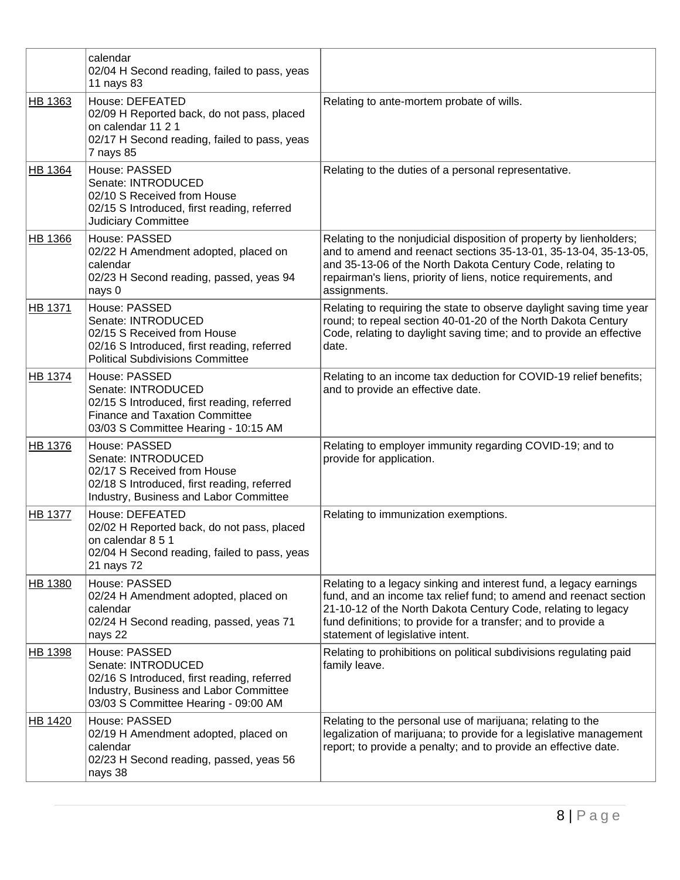|                | calendar<br>02/04 H Second reading, failed to pass, yeas<br>11 nays 83                                                                                               |                                                                                                                                                                                                                                                                                                              |
|----------------|----------------------------------------------------------------------------------------------------------------------------------------------------------------------|--------------------------------------------------------------------------------------------------------------------------------------------------------------------------------------------------------------------------------------------------------------------------------------------------------------|
| HB 1363        | House: DEFEATED<br>02/09 H Reported back, do not pass, placed<br>on calendar 11 2 1<br>02/17 H Second reading, failed to pass, yeas<br>7 nays 85                     | Relating to ante-mortem probate of wills.                                                                                                                                                                                                                                                                    |
| <b>HB 1364</b> | House: PASSED<br>Senate: INTRODUCED<br>02/10 S Received from House<br>02/15 S Introduced, first reading, referred<br><b>Judiciary Committee</b>                      | Relating to the duties of a personal representative.                                                                                                                                                                                                                                                         |
| <b>HB 1366</b> | House: PASSED<br>02/22 H Amendment adopted, placed on<br>calendar<br>02/23 H Second reading, passed, yeas 94<br>nays 0                                               | Relating to the nonjudicial disposition of property by lienholders;<br>and to amend and reenact sections 35-13-01, 35-13-04, 35-13-05,<br>and 35-13-06 of the North Dakota Century Code, relating to<br>repairman's liens, priority of liens, notice requirements, and<br>assignments.                       |
| HB 1371        | House: PASSED<br>Senate: INTRODUCED<br>02/15 S Received from House<br>02/16 S Introduced, first reading, referred<br><b>Political Subdivisions Committee</b>         | Relating to requiring the state to observe daylight saving time year<br>round; to repeal section 40-01-20 of the North Dakota Century<br>Code, relating to daylight saving time; and to provide an effective<br>date.                                                                                        |
| <b>HB 1374</b> | House: PASSED<br>Senate: INTRODUCED<br>02/15 S Introduced, first reading, referred<br><b>Finance and Taxation Committee</b><br>03/03 S Committee Hearing - 10:15 AM  | Relating to an income tax deduction for COVID-19 relief benefits;<br>and to provide an effective date.                                                                                                                                                                                                       |
| HB 1376        | House: PASSED<br>Senate: INTRODUCED<br>02/17 S Received from House<br>02/18 S Introduced, first reading, referred<br>Industry, Business and Labor Committee          | Relating to employer immunity regarding COVID-19; and to<br>provide for application.                                                                                                                                                                                                                         |
| <b>HB 1377</b> | House: DEFEATED<br>02/02 H Reported back, do not pass, placed<br>on calendar 8 5 1<br>02/04 H Second reading, failed to pass, yeas<br>21 nays 72                     | Relating to immunization exemptions.                                                                                                                                                                                                                                                                         |
| <b>HB 1380</b> | House: PASSED<br>02/24 H Amendment adopted, placed on<br>calendar<br>02/24 H Second reading, passed, yeas 71<br>nays 22                                              | Relating to a legacy sinking and interest fund, a legacy earnings<br>fund, and an income tax relief fund; to amend and reenact section<br>21-10-12 of the North Dakota Century Code, relating to legacy<br>fund definitions; to provide for a transfer; and to provide a<br>statement of legislative intent. |
| <b>HB 1398</b> | House: PASSED<br>Senate: INTRODUCED<br>02/16 S Introduced, first reading, referred<br>Industry, Business and Labor Committee<br>03/03 S Committee Hearing - 09:00 AM | Relating to prohibitions on political subdivisions regulating paid<br>family leave.                                                                                                                                                                                                                          |
| HB 1420        | House: PASSED<br>02/19 H Amendment adopted, placed on<br>calendar<br>02/23 H Second reading, passed, yeas 56<br>nays 38                                              | Relating to the personal use of marijuana; relating to the<br>legalization of marijuana; to provide for a legislative management<br>report; to provide a penalty; and to provide an effective date.                                                                                                          |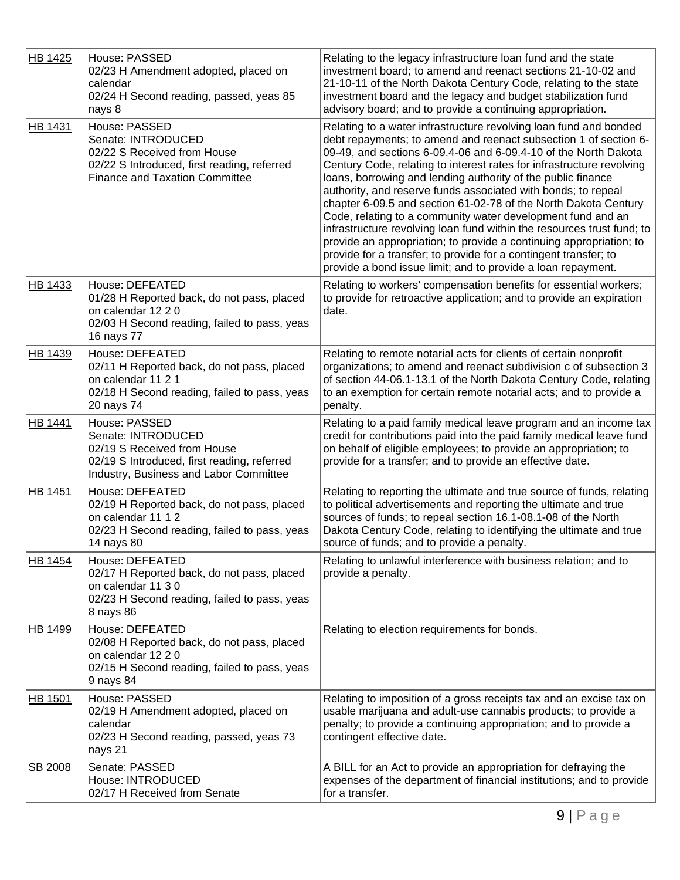| HB 1425        | House: PASSED<br>02/23 H Amendment adopted, placed on<br>calendar<br>02/24 H Second reading, passed, yeas 85<br>nays 8                                      | Relating to the legacy infrastructure loan fund and the state<br>investment board; to amend and reenact sections 21-10-02 and<br>21-10-11 of the North Dakota Century Code, relating to the state<br>investment board and the legacy and budget stabilization fund<br>advisory board; and to provide a continuing appropriation.                                                                                                                                                                                                                                                                                                                                                                                                                                                                                                          |
|----------------|-------------------------------------------------------------------------------------------------------------------------------------------------------------|-------------------------------------------------------------------------------------------------------------------------------------------------------------------------------------------------------------------------------------------------------------------------------------------------------------------------------------------------------------------------------------------------------------------------------------------------------------------------------------------------------------------------------------------------------------------------------------------------------------------------------------------------------------------------------------------------------------------------------------------------------------------------------------------------------------------------------------------|
| HB 1431        | House: PASSED<br>Senate: INTRODUCED<br>02/22 S Received from House<br>02/22 S Introduced, first reading, referred<br><b>Finance and Taxation Committee</b>  | Relating to a water infrastructure revolving loan fund and bonded<br>debt repayments; to amend and reenact subsection 1 of section 6-<br>09-49, and sections 6-09.4-06 and 6-09.4-10 of the North Dakota<br>Century Code, relating to interest rates for infrastructure revolving<br>loans, borrowing and lending authority of the public finance<br>authority, and reserve funds associated with bonds; to repeal<br>chapter 6-09.5 and section 61-02-78 of the North Dakota Century<br>Code, relating to a community water development fund and an<br>infrastructure revolving loan fund within the resources trust fund; to<br>provide an appropriation; to provide a continuing appropriation; to<br>provide for a transfer; to provide for a contingent transfer; to<br>provide a bond issue limit; and to provide a loan repayment. |
| <b>HB 1433</b> | House: DEFEATED<br>01/28 H Reported back, do not pass, placed<br>on calendar 12 2 0<br>02/03 H Second reading, failed to pass, yeas<br>16 nays 77           | Relating to workers' compensation benefits for essential workers;<br>to provide for retroactive application; and to provide an expiration<br>date.                                                                                                                                                                                                                                                                                                                                                                                                                                                                                                                                                                                                                                                                                        |
| HB 1439        | House: DEFEATED<br>02/11 H Reported back, do not pass, placed<br>on calendar 11 2 1<br>02/18 H Second reading, failed to pass, yeas<br>20 nays 74           | Relating to remote notarial acts for clients of certain nonprofit<br>organizations; to amend and reenact subdivision c of subsection 3<br>of section 44-06.1-13.1 of the North Dakota Century Code, relating<br>to an exemption for certain remote notarial acts; and to provide a<br>penalty.                                                                                                                                                                                                                                                                                                                                                                                                                                                                                                                                            |
| HB 1441        | House: PASSED<br>Senate: INTRODUCED<br>02/19 S Received from House<br>02/19 S Introduced, first reading, referred<br>Industry, Business and Labor Committee | Relating to a paid family medical leave program and an income tax<br>credit for contributions paid into the paid family medical leave fund<br>on behalf of eligible employees; to provide an appropriation; to<br>provide for a transfer; and to provide an effective date.                                                                                                                                                                                                                                                                                                                                                                                                                                                                                                                                                               |
| <b>HB 1451</b> | House: DEFEATED<br>02/19 H Reported back, do not pass, placed<br>on calendar 11 1 2<br>02/23 H Second reading, failed to pass, yeas<br>14 nays 80           | Relating to reporting the ultimate and true source of funds, relating<br>to political advertisements and reporting the ultimate and true<br>sources of funds; to repeal section 16.1-08.1-08 of the North<br>Dakota Century Code, relating to identifying the ultimate and true<br>source of funds; and to provide a penalty.                                                                                                                                                                                                                                                                                                                                                                                                                                                                                                             |
| HB 1454        | House: DEFEATED<br>02/17 H Reported back, do not pass, placed<br>on calendar 11 3 0<br>02/23 H Second reading, failed to pass, yeas<br>8 nays 86            | Relating to unlawful interference with business relation; and to<br>provide a penalty.                                                                                                                                                                                                                                                                                                                                                                                                                                                                                                                                                                                                                                                                                                                                                    |
| HB 1499        | House: DEFEATED<br>02/08 H Reported back, do not pass, placed<br>on calendar 12 2 0<br>02/15 H Second reading, failed to pass, yeas<br>9 nays 84            | Relating to election requirements for bonds.                                                                                                                                                                                                                                                                                                                                                                                                                                                                                                                                                                                                                                                                                                                                                                                              |
| <b>HB 1501</b> | House: PASSED<br>02/19 H Amendment adopted, placed on<br>calendar<br>02/23 H Second reading, passed, yeas 73<br>nays 21                                     | Relating to imposition of a gross receipts tax and an excise tax on<br>usable marijuana and adult-use cannabis products; to provide a<br>penalty; to provide a continuing appropriation; and to provide a<br>contingent effective date.                                                                                                                                                                                                                                                                                                                                                                                                                                                                                                                                                                                                   |
| SB 2008        | Senate: PASSED<br>House: INTRODUCED<br>02/17 H Received from Senate                                                                                         | A BILL for an Act to provide an appropriation for defraying the<br>expenses of the department of financial institutions; and to provide<br>for a transfer.                                                                                                                                                                                                                                                                                                                                                                                                                                                                                                                                                                                                                                                                                |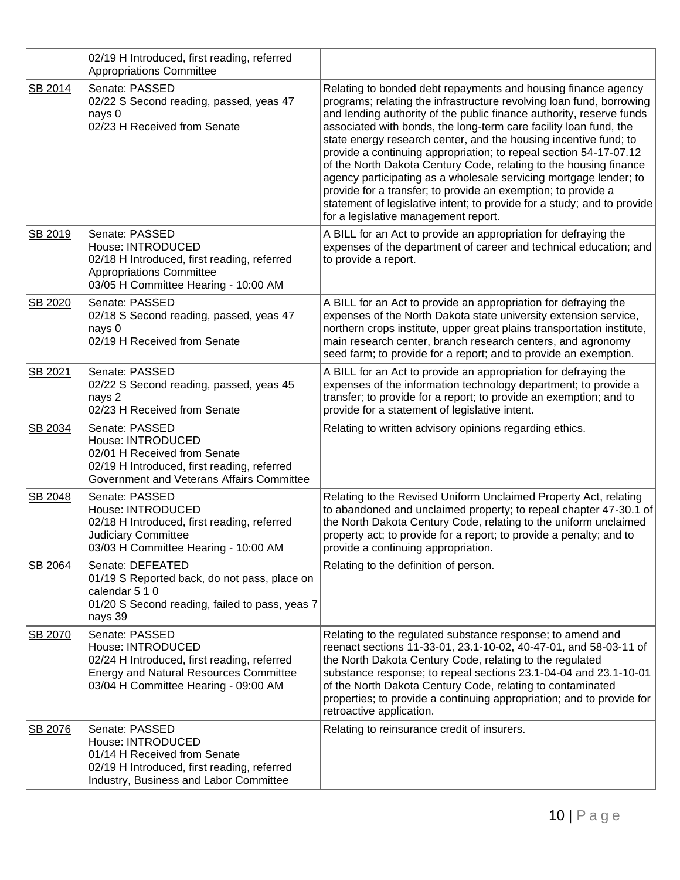|         | 02/19 H Introduced, first reading, referred<br><b>Appropriations Committee</b>                                                                                              |                                                                                                                                                                                                                                                                                                                                                                                                                                                                                                                                                                                                                                                                                                                                                           |
|---------|-----------------------------------------------------------------------------------------------------------------------------------------------------------------------------|-----------------------------------------------------------------------------------------------------------------------------------------------------------------------------------------------------------------------------------------------------------------------------------------------------------------------------------------------------------------------------------------------------------------------------------------------------------------------------------------------------------------------------------------------------------------------------------------------------------------------------------------------------------------------------------------------------------------------------------------------------------|
| SB 2014 | Senate: PASSED<br>02/22 S Second reading, passed, yeas 47<br>nays 0<br>02/23 H Received from Senate                                                                         | Relating to bonded debt repayments and housing finance agency<br>programs; relating the infrastructure revolving loan fund, borrowing<br>and lending authority of the public finance authority, reserve funds<br>associated with bonds, the long-term care facility loan fund, the<br>state energy research center, and the housing incentive fund; to<br>provide a continuing appropriation; to repeal section 54-17-07.12<br>of the North Dakota Century Code, relating to the housing finance<br>agency participating as a wholesale servicing mortgage lender; to<br>provide for a transfer; to provide an exemption; to provide a<br>statement of legislative intent; to provide for a study; and to provide<br>for a legislative management report. |
| SB 2019 | Senate: PASSED<br>House: INTRODUCED<br>02/18 H Introduced, first reading, referred<br><b>Appropriations Committee</b><br>03/05 H Committee Hearing - 10:00 AM               | A BILL for an Act to provide an appropriation for defraying the<br>expenses of the department of career and technical education; and<br>to provide a report.                                                                                                                                                                                                                                                                                                                                                                                                                                                                                                                                                                                              |
| SB 2020 | Senate: PASSED<br>02/18 S Second reading, passed, yeas 47<br>nays 0<br>02/19 H Received from Senate                                                                         | A BILL for an Act to provide an appropriation for defraying the<br>expenses of the North Dakota state university extension service,<br>northern crops institute, upper great plains transportation institute,<br>main research center, branch research centers, and agronomy<br>seed farm; to provide for a report; and to provide an exemption.                                                                                                                                                                                                                                                                                                                                                                                                          |
| SB 2021 | Senate: PASSED<br>02/22 S Second reading, passed, yeas 45<br>nays 2<br>02/23 H Received from Senate                                                                         | A BILL for an Act to provide an appropriation for defraying the<br>expenses of the information technology department; to provide a<br>transfer; to provide for a report; to provide an exemption; and to<br>provide for a statement of legislative intent.                                                                                                                                                                                                                                                                                                                                                                                                                                                                                                |
| SB 2034 | Senate: PASSED<br>House: INTRODUCED<br>02/01 H Received from Senate<br>02/19 H Introduced, first reading, referred<br>Government and Veterans Affairs Committee             | Relating to written advisory opinions regarding ethics.                                                                                                                                                                                                                                                                                                                                                                                                                                                                                                                                                                                                                                                                                                   |
| SB 2048 | Senate: PASSED<br>House: INTRODUCED<br>02/18 H Introduced, first reading, referred<br>Judiciary Committee<br>03/03 H Committee Hearing - 10:00 AM                           | Relating to the Revised Uniform Unclaimed Property Act, relating<br>to abandoned and unclaimed property; to repeal chapter 47-30.1 of<br>the North Dakota Century Code, relating to the uniform unclaimed<br>property act; to provide for a report; to provide a penalty; and to<br>provide a continuing appropriation.                                                                                                                                                                                                                                                                                                                                                                                                                                   |
| SB 2064 | Senate: DEFEATED<br>01/19 S Reported back, do not pass, place on<br>calendar 5 1 0<br>01/20 S Second reading, failed to pass, yeas 7<br>nays 39                             | Relating to the definition of person.                                                                                                                                                                                                                                                                                                                                                                                                                                                                                                                                                                                                                                                                                                                     |
| SB 2070 | Senate: PASSED<br>House: INTRODUCED<br>02/24 H Introduced, first reading, referred<br><b>Energy and Natural Resources Committee</b><br>03/04 H Committee Hearing - 09:00 AM | Relating to the regulated substance response; to amend and<br>reenact sections 11-33-01, 23.1-10-02, 40-47-01, and 58-03-11 of<br>the North Dakota Century Code, relating to the regulated<br>substance response; to repeal sections 23.1-04-04 and 23.1-10-01<br>of the North Dakota Century Code, relating to contaminated<br>properties; to provide a continuing appropriation; and to provide for<br>retroactive application.                                                                                                                                                                                                                                                                                                                         |
| SB 2076 | Senate: PASSED<br>House: INTRODUCED<br>01/14 H Received from Senate<br>02/19 H Introduced, first reading, referred<br>Industry, Business and Labor Committee                | Relating to reinsurance credit of insurers.                                                                                                                                                                                                                                                                                                                                                                                                                                                                                                                                                                                                                                                                                                               |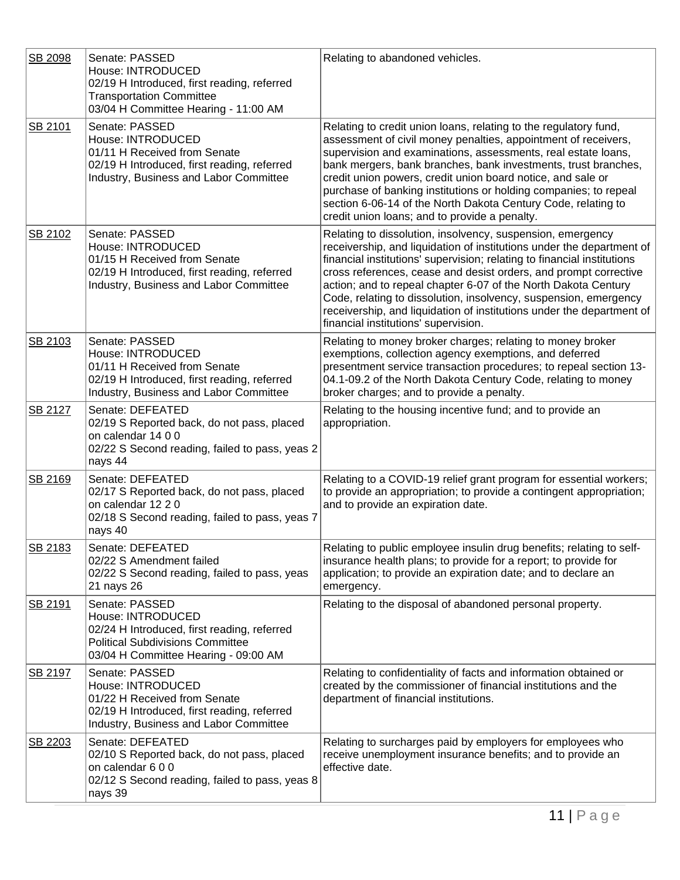| SB 2098 | Senate: PASSED<br>House: INTRODUCED<br>02/19 H Introduced, first reading, referred<br><b>Transportation Committee</b><br>03/04 H Committee Hearing - 11:00 AM         | Relating to abandoned vehicles.                                                                                                                                                                                                                                                                                                                                                                                                                                                                                                           |
|---------|-----------------------------------------------------------------------------------------------------------------------------------------------------------------------|-------------------------------------------------------------------------------------------------------------------------------------------------------------------------------------------------------------------------------------------------------------------------------------------------------------------------------------------------------------------------------------------------------------------------------------------------------------------------------------------------------------------------------------------|
| SB 2101 | Senate: PASSED<br>House: INTRODUCED<br>01/11 H Received from Senate<br>02/19 H Introduced, first reading, referred<br>Industry, Business and Labor Committee          | Relating to credit union loans, relating to the regulatory fund,<br>assessment of civil money penalties, appointment of receivers,<br>supervision and examinations, assessments, real estate loans,<br>bank mergers, bank branches, bank investments, trust branches,<br>credit union powers, credit union board notice, and sale or<br>purchase of banking institutions or holding companies; to repeal<br>section 6-06-14 of the North Dakota Century Code, relating to<br>credit union loans; and to provide a penalty.                |
| SB 2102 | Senate: PASSED<br>House: INTRODUCED<br>01/15 H Received from Senate<br>02/19 H Introduced, first reading, referred<br>Industry, Business and Labor Committee          | Relating to dissolution, insolvency, suspension, emergency<br>receivership, and liquidation of institutions under the department of<br>financial institutions' supervision; relating to financial institutions<br>cross references, cease and desist orders, and prompt corrective<br>action; and to repeal chapter 6-07 of the North Dakota Century<br>Code, relating to dissolution, insolvency, suspension, emergency<br>receivership, and liquidation of institutions under the department of<br>financial institutions' supervision. |
| SB 2103 | Senate: PASSED<br>House: INTRODUCED<br>01/11 H Received from Senate<br>02/19 H Introduced, first reading, referred<br>Industry, Business and Labor Committee          | Relating to money broker charges; relating to money broker<br>exemptions, collection agency exemptions, and deferred<br>presentment service transaction procedures; to repeal section 13-<br>04.1-09.2 of the North Dakota Century Code, relating to money<br>broker charges; and to provide a penalty.                                                                                                                                                                                                                                   |
| SB 2127 | Senate: DEFEATED<br>02/19 S Reported back, do not pass, placed<br>on calendar 14 0 0<br>02/22 S Second reading, failed to pass, yeas 2<br>nays 44                     | Relating to the housing incentive fund; and to provide an<br>appropriation.                                                                                                                                                                                                                                                                                                                                                                                                                                                               |
| SB 2169 | Senate: DEFEATED<br>02/17 S Reported back, do not pass, placed<br>on calendar 12 2 0<br>02/18 S Second reading, failed to pass, yeas 7<br>nays 40                     | Relating to a COVID-19 relief grant program for essential workers;<br>to provide an appropriation; to provide a contingent appropriation;<br>and to provide an expiration date.                                                                                                                                                                                                                                                                                                                                                           |
| SB 2183 | Senate: DEFEATED<br>02/22 S Amendment failed<br>02/22 S Second reading, failed to pass, yeas<br>21 nays 26                                                            | Relating to public employee insulin drug benefits; relating to self-<br>insurance health plans; to provide for a report; to provide for<br>application; to provide an expiration date; and to declare an<br>emergency.                                                                                                                                                                                                                                                                                                                    |
| SB 2191 | Senate: PASSED<br>House: INTRODUCED<br>02/24 H Introduced, first reading, referred<br><b>Political Subdivisions Committee</b><br>03/04 H Committee Hearing - 09:00 AM | Relating to the disposal of abandoned personal property.                                                                                                                                                                                                                                                                                                                                                                                                                                                                                  |
| SB 2197 | Senate: PASSED<br>House: INTRODUCED<br>01/22 H Received from Senate<br>02/19 H Introduced, first reading, referred<br>Industry, Business and Labor Committee          | Relating to confidentiality of facts and information obtained or<br>created by the commissioner of financial institutions and the<br>department of financial institutions.                                                                                                                                                                                                                                                                                                                                                                |
| SB 2203 | Senate: DEFEATED<br>02/10 S Reported back, do not pass, placed<br>on calendar 600<br>02/12 S Second reading, failed to pass, yeas 8<br>nays 39                        | Relating to surcharges paid by employers for employees who<br>receive unemployment insurance benefits; and to provide an<br>effective date.                                                                                                                                                                                                                                                                                                                                                                                               |